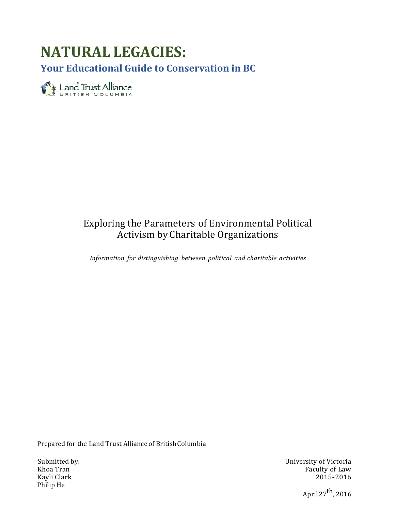# **NATURAL LEGACIES:**

**Your Educational Guide to Conservation in BC**

Eand Trust Alliance

# Exploring the Parameters of Environmental Political Activism by Charitable Organizations

*Information for distinguishing between political and charitable activities*

Prepared for the Land Trust Alliance of British Columbia

Philip He

 Submitted by: University of Victoria Khoa Tran Faculty of Law Kayli Clark  $\qquad \qquad \qquad \qquad$  2015-2016

April  $27<sup>th</sup>$ , 2016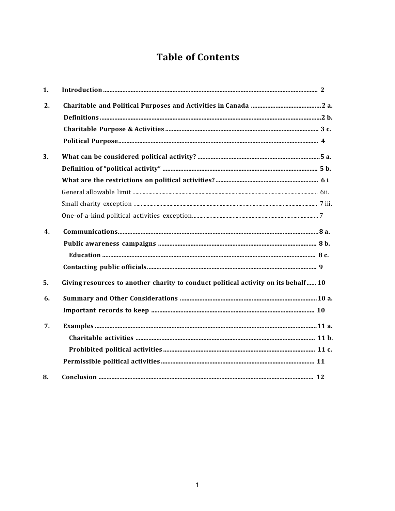# **Table of Contents**

| 1. |                                                                                   |
|----|-----------------------------------------------------------------------------------|
| 2. |                                                                                   |
|    |                                                                                   |
|    |                                                                                   |
|    |                                                                                   |
| 3. |                                                                                   |
|    |                                                                                   |
|    |                                                                                   |
|    |                                                                                   |
|    |                                                                                   |
|    |                                                                                   |
| 4. |                                                                                   |
|    |                                                                                   |
|    |                                                                                   |
|    |                                                                                   |
| 5. | Giving resources to another charity to conduct political activity on its behalf10 |
| 6. |                                                                                   |
|    |                                                                                   |
| 7. |                                                                                   |
|    |                                                                                   |
|    |                                                                                   |
|    |                                                                                   |
| 8. |                                                                                   |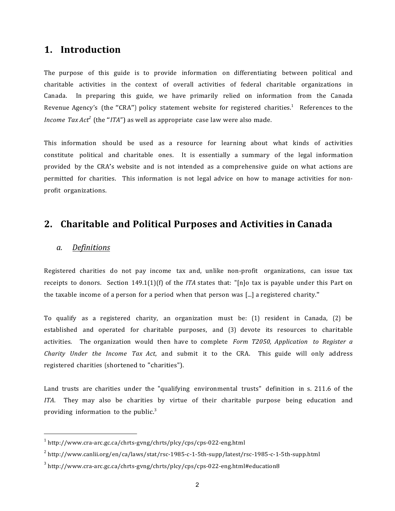### **1. Introduction**

The purpose of this guide is to provide information on differentiating between political and charitable activities in the context of overall activities of federal charitable organizations in Canada. In preparing this guide, we have primarily relied on information from the Canada Revenue Agency's (the "CRA") policy statement website for registered charities.<sup>1</sup> References to the *Income Tax Act <sup>2</sup>* (the "*ITA*") as well as appropriate case law were also made.

This information should be used as a resource for learning about what kinds of activities constitute political and charitable ones. It is essentially a summary of the legal information provided by the CRA's website and is not intended as a comprehensive guide on what actions are permitted for charities. This information is not legal advice on how to manage activities for nonprofit organizations.

# **2. Charitable and Political Purposes and Activities in Canada**

#### *a. Definitions*

Registered charities do not pay income tax and, unlike non-profit organizations, can issue tax receipts to donors. Section 149.1(1)(f) of the *ITA* states that: "[n]o tax is payable under this Part on the taxable income of a person for a period when that person was [...] a registered charity."

To qualify as a registered charity, an organization must be: (1) resident in Canada, (2) be established and operated for charitable purposes, and (3) devote its resources to charitable activities. The organization would then have to complete *Form T2050, Application to Register a Charity Under the Income Tax Act*, and submit it to the CRA. This guide will only address registered charities (shortened to "charities").

Land trusts are charities under the "qualifying environmental trusts" definition in s. 211.6 of the *ITA*. They may also be charities by virtue of their charitable purpose being education and providing information to the public.<sup>3</sup>

 $1$  http://www.cra-arc.gc.ca/chrts-gvng/chrts/plcy/cps/cps-022-eng.html

 $2$  http://www.canlii.org/en/ca/laws/stat/rsc-1985-c-1-5th-supp/latest/rsc-1985-c-1-5th-supp.html

 $3$  http://www.cra-arc.gc.ca/chrts-gyng/chrts/plcy/cps/cps-022-eng.html#education8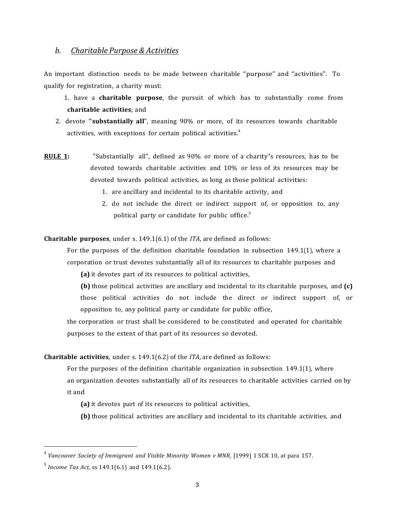#### *b. Charitable Purpose & Activities*

An important distinction needs to be made between charitable "purpose" and "activities". To qualify for registration, a charity must:

- 1. have a **charitable purpose**, the pursuit of which has to substantially come from **charitable activities**; and
- 2. devote "substantially all", meaning 90% or more, of its resources towards charitable activities, with exceptions for certain political activities. 4
- **RULE 1:**  "Substantially all", defined as 90% or more of a charity's resources, has to be devoted towards charitable activities and 10% or less of its resources may be devoted towards political activities, as long as those political activities:
	- 1. are ancillary and incidental to its charitable activity, and
	- 2. do not include the direct or indirect support of, or opposition to, any political party or candidate for public office.<sup>5</sup>

**Charitable purposes**, under s. 149.1(6.1) of the *ITA*, are defined as follows:

For the purposes of the definition charitable foundation in subsection  $149.1(1)$ , where a corporation or trust devotes substantially all of its resources to charitable purposes and

**(a)** it devotes part of its resources to political activities,

**(b)** those political activities are ancillary and incidental to its charitable purposes, and **(c)** those political activities do not include the direct or indirect support of, or opposition to, any political party or candidate for public office,

the corporation or trust shall be considered to be constituted and operated for charitable purposes to the extent of that part of its resources so devoted.

#### **Charitable activities**, under s. 149.1(6.2) of the *ITA*, are defined as follows:

For the purposes of the definition charitable organization in subsection 149.1(1), where an organization devotes substantially all of its resources to charitable activities carried on by it and

**(a)** it devotes part of its resources to political activities,

**(b)** those political activities are ancillary and incidental to its charitable activities, and

<sup>4</sup> *Vancouver Society of Immigrant and Visible Minority Women v MNR,* [1999] 1 SCR 10, at para 157.

<sup>5</sup> *Income Tax Act*, ss 149.1(6.1) and 149.1(6.2).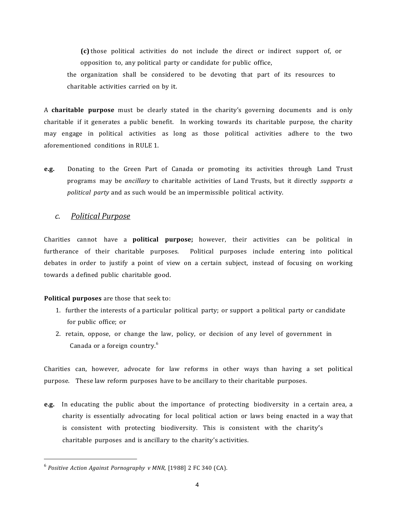**(c)** those political activities do not include the direct or indirect support of, or opposition to, any political party or candidate for public office, the organization shall be considered to be devoting that part of its resources to

charitable activities carried on by it.

A **charitable purpose** must be clearly stated in the charity's governing documents and is only charitable if it generates a public benefit. In working towards its charitable purpose, the charity may engage in political activities as long as those political activities adhere to the two aforementioned conditions in RULE 1.

**e.g.** Donating to the Green Part of Canada or promoting its activities through Land Trust programs may be *ancillary* to charitable activities of Land Trusts, but it directly *supports a political party* and as such would be an impermissible political activity.

#### *c. Political Purpose*

Charities cannot have a **political purpose**; however, their activities can be political in furtherance of their charitable purposes. Political purposes include entering into political debates in order to justify a point of view on a certain subject, instead of focusing on working towards a defined public charitable good.

#### **Political purposes** are those that seek to:

- 1. further the interests of a particular political party; or support a political party or candidate for public office; or
- 2. retain, oppose, or change the law, policy, or decision of any level of government in Canada or a foreign country.<sup>6</sup>

Charities can, however, advocate for law reforms in other ways than having a set political purpose. These law reform purposes have to be ancillary to their charitable purposes.

e.g. In educating the public about the importance of protecting biodiversity in a certain area, a charity is essentially advocating for local political action or laws being enacted in a way that is consistent with protecting biodiversity. This is consistent with the charity's charitable purposes and is ancillary to the charity's activities.

<sup>6</sup> *Positive Action Against Pornography v MNR*, [1988] 2 FC 340 (CA).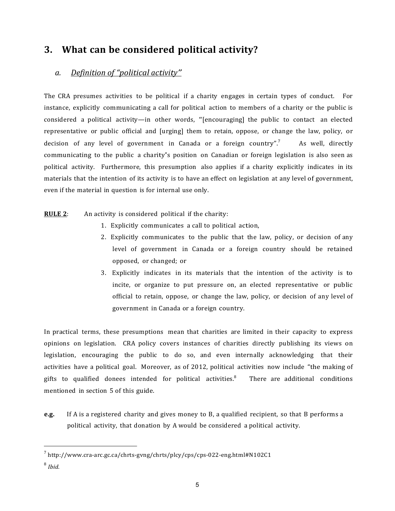# **3. What can be considered political activity?**

### *a. Definition of "political activity"*

The CRA presumes activities to be political if a charity engages in certain types of conduct. For instance, explicitly communicating a call for political action to members of a charity or the public is considered a political activity—in other words, "[encouraging] the public to contact an elected representative or public official and [urging] them to retain, oppose, or change the law, policy, or decision of any level of government in Canada or a foreign country". As well, directly communicating to the public a charity's position on Canadian or foreign legislation is also seen as political activity. Furthermore, this presumption also applies if a charity explicitly indicates in its materials that the intention of its activity is to have an effect on legislation at any level of government, even if the material in question is for internal use only.

**RULE 2**: An activity is considered political if the charity:

- 1. Explicitly communicates a call to political action,
- 2. Explicitly communicates to the public that the law, policy, or decision of any level of government in Canada or a foreign country should be retained opposed, or changed; or
- 3. Explicitly indicates in its materials that the intention of the activity is to incite, or organize to put pressure on, an elected representative or public official to retain, oppose, or change the law, policy, or decision of any level of government in Canada or a foreign country.

In practical terms, these presumptions mean that charities are limited in their capacity to express opinions on legislation. CRA policy covers instances of charities directly publishing its views on legislation, encouraging the public to do so, and even internally acknowledging that their activities have a political goal. Moreover, as of 2012, political activities now include "the making of gifts to qualified donees intended for political activities. $8\degree$ There are additional conditions mentioned in section 5 of this guide.

**e.g.** If A is a registered charity and gives money to B, a qualified recipient, so that B performs a political activity, that donation by A would be considered a political activity.

<sup>7</sup> http://www.cra-arc.gc.ca/chrts-gvng/chrts/plcy/cps/cps-022-eng.html#N102C1

<sup>8</sup> *Ibid.*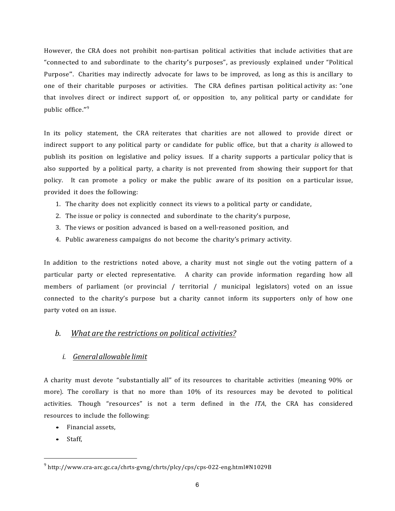However, the CRA does not prohibit non-partisan political activities that include activities that are "connected to and subordinate to the charity's purposes", as previously explained under "Political" Purpose". Charities may indirectly advocate for laws to be improved, as long as this is ancillary to one of their charitable purposes or activities. The CRA defines partisan political activity as: "one that involves direct or indirect support of, or opposition to, any political party or candidate for public office." 9

In its policy statement, the CRA reiterates that charities are not allowed to provide direct or indirect support to any political party or candidate for public office, but that a charity *is* allowed to publish its position on legislative and policy issues. If a charity supports a particular policy that is also supported by a political party, a charity is not prevented from showing their support for that policy. It can promote a policy or make the public aware of its position on a particular issue, provided it does the following:

- 1. The charity does not explicitly connect its views to a political party or candidate,
- 2. The issue or policy is connected and subordinate to the charity's purpose,
- 3. The views or position advanced is based on a well-reasoned position, and
- 4. Public awareness campaigns do not become the charity's primary activity.

In addition to the restrictions noted above, a charity must not single out the voting pattern of a particular party or elected representative. A charity can provide information regarding how all members of parliament (or provincial / territorial / municipal legislators) voted on an issue connected to the charity's purpose but a charity cannot inform its supporters only of how one party voted on an issue.

#### *b. What are the restrictions on political activities?*

#### *i. Generalallowable limit*

A charity must devote "substantially all" of its resources to charitable activities (meaning 90% or more). The corollary is that no more than  $10\%$  of its resources may be devoted to political activities. Though "resources" is not a term defined in the *ITA*, the CRA has considered resources to include the following:

- Financial assets,
- Staff,

 $9$  http://www.cra-arc.gc.ca/chrts-gyng/chrts/plcy/cps/cps-022-eng.html#N1029B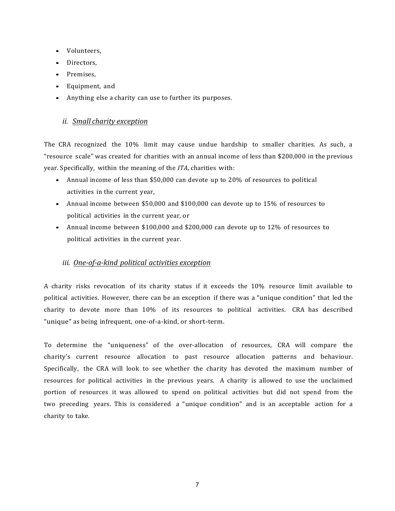- Volunteers,
- Directors.
- Premises,
- Equipment, and
- Anything else a charity can use to further its purposes.

#### *ii. Small charity exception*

The CRA recognized the 10% limit may cause undue hardship to smaller charities. As such, a "resource scale" was created for charities with an annual income of less than \$200,000 in the previous year. Specifically, within the meaning of the *ITA*, charities with:

- Annual income of less than \$50,000 can devote up to 20% of resources to political activities in the current year,
- Annual income between \$50,000 and \$100,000 can devote up to 15% of resources to political activities in the current year, or
- Annual income between \$100,000 and \$200,000 can devote up to 12% of resources to political activities in the current year.

#### *iii. One-of-a-kind political activities exception*

A charity risks revocation of its charity status if it exceeds the 10% resource limit available to political activities. However, there can be an exception if there was a "unique condition" that led the charity to devote more than 10% of its resources to political activities. CRA has described "unique" as being infrequent, one-of-a-kind, or short-term.

To determine the "uniqueness" of the over-allocation of resources, CRA will compare the charity's current resource allocation to past resource allocation patterns and behaviour. Specifically, the CRA will look to see whether the charity has devoted the maximum number of resources for political activities in the previous years. A charity is allowed to use the unclaimed portion of resources it was allowed to spend on political activities but did not spend from the two preceding years. This is considered a "unique condition" and is an acceptable action for a charity to take.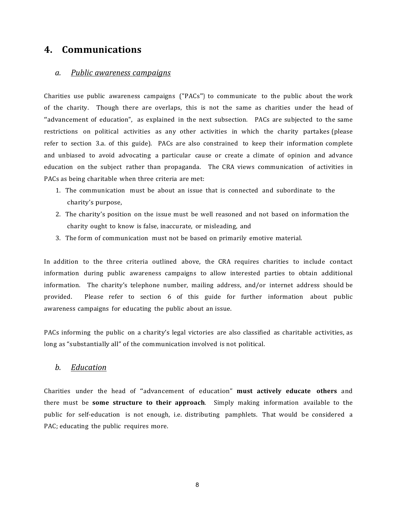## **4. Communications**

#### *a. Public awareness campaigns*

Charities use public awareness campaigns ("PACs") to communicate to the public about the work of the charity. Though there are overlaps, this is not the same as charities under the head of "advancement of education", as explained in the next subsection. PACs are subjected to the same restrictions on political activities as any other activities in which the charity partakes (please refer to section 3.a. of this guide). PACs are also constrained to keep their information complete and unbiased to avoid advocating a particular cause or create a climate of opinion and advance education on the subject rather than propaganda. The CRA views communication of activities in PACs as being charitable when three criteria are met:

- 1. The communication must be about an issue that is connected and subordinate to the charity's purpose,
- 2. The charity's position on the issue must be well reasoned and not based on information the charity ought to know is false, inaccurate, or misleading, and
- 3. The form of communication must not be based on primarily emotive material.

In addition to the three criteria outlined above, the CRA requires charities to include contact information during public awareness campaigns to allow interested parties to obtain additional information. The charity's telephone number, mailing address, and/or internet address should be provided. Please refer to section 6 of this guide for further information about public awareness campaigns for educating the public about an issue.

PACs informing the public on a charity's legal victories are also classified as charitable activities, as long as "substantially all" of the communication involved is not political.

#### *b. Education*

Charities under the head of "advancement of education" **must actively educate others** and there must be **some structure to their approach**. Simply making information available to the public for self-education is not enough, i.e. distributing pamphlets. That would be considered a PAC; educating the public requires more.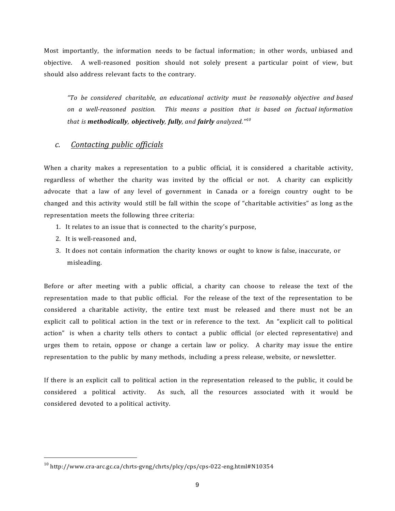Most importantly, the information needs to be factual information; in other words, unbiased and objective. A well-reasoned position should not solely present a particular point of view, but should also address relevant facts to the contrary.

*"To be considered charitable, an educational activity must be reasonably objective and based on a well-reasoned position. This means a position that is based on factual information that is methodically, objectively, fully, and fairly analyzed." 10*

#### *c. Contacting public officials*

When a charity makes a representation to a public official, it is considered a charitable activity, regardless of whether the charity was invited by the official or not. A charity can explicitly advocate that a law of any level of government in Canada or a foreign country ought to be changed and this activity would still be fall within the scope of "charitable activities" as long as the representation meets the following three criteria:

- 1. It relates to an issue that is connected to the charity's purpose,
- 2. It is well-reasoned and,
- 3. It does not contain information the charity knows or ought to know is false, inaccurate, or misleading.

Before or after meeting with a public official, a charity can choose to release the text of the representation made to that public official. For the release of the text of the representation to be considered a charitable activity, the entire text must be released and there must not be an explicit call to political action in the text or in reference to the text. An "explicit call to political action" is when a charity tells others to contact a public official (or elected representative) and urges them to retain, oppose or change a certain law or policy. A charity may issue the entire representation to the public by many methods, including a press release, website, or newsletter.

If there is an explicit call to political action in the representation released to the public, it could be considered a political activity. As such, all the resources associated with it would be considered devoted to a political activity.

 $10$  http://www.cra-arc.gc.ca/chrts-gyng/chrts/plcy/cps/cps-022-eng.html#N10354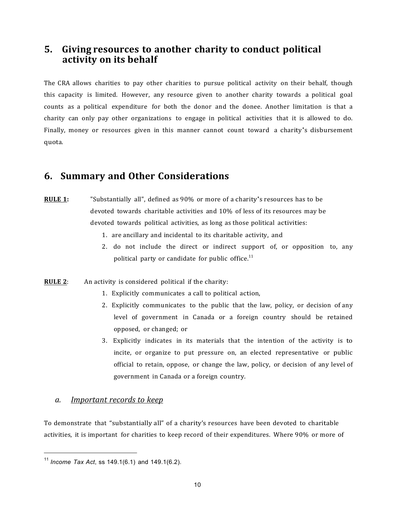# **5. Giving resources to another charity to conduct political activity on its behalf**

The CRA allows charities to pay other charities to pursue political activity on their behalf, though this capacity is limited. However, any resource given to another charity towards a political goal counts as a political expenditure for both the donor and the donee. Another limitation is that a charity can only pay other organizations to engage in political activities that it is allowed to do. Finally, money or resources given in this manner cannot count toward a charity's disbursement quota.

# **6. Summary and Other Considerations**

- **RULE 1:** "Substantially all", defined as 90% or more of a charity's resources has to be devoted towards charitable activities and 10% of less of its resources may be devoted towards political activities, as long as those political activities:
	- 1. are ancillary and incidental to its charitable activity, and
	- 2. do not include the direct or indirect support of, or opposition to, any political party or candidate for public office.<sup>11</sup>
- **RULE 2:** An activity is considered political if the charity:
	- 1. Explicitly communicates a call to political action,
	- 2. Explicitly communicates to the public that the law, policy, or decision of any level of government in Canada or a foreign country should be retained opposed, or changed; or
	- 3. Explicitly indicates in its materials that the intention of the activity is to incite, or organize to put pressure on, an elected representative or public official to retain, oppose, or change the law, policy, or decision of any level of government in Canada or a foreign country.

#### *a. Important records to keep*

To demonstrate that "substantially all" of a charity's resources have been devoted to charitable activities, it is important for charities to keep record of their expenditures. Where 90% or more of

<sup>11</sup> *Income Tax Act*, ss 149.1(6.1) and 149.1(6.2).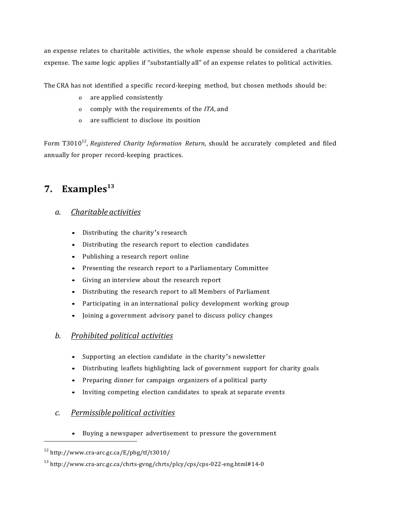an expense relates to charitable activities, the whole expense should be considered a charitable expense. The same logic applies if "substantially all" of an expense relates to political activities.

The CRA has not identified a specific record-keeping method, but chosen methods should be:

- o are applied consistently
- o comply with the requirements of the *ITA*, and
- o are sufficient to disclose its position

Form T3010<sup>12</sup>, *Registered Charity Information Return*, should be accurately completed and filed annually for proper record-keeping practices.

# **7. Examples**<sup>13</sup>

#### *a. Charitable activities*

- Distributing the charity's research
- Distributing the research report to election candidates
- Publishing a research report online
- Presenting the research report to a Parliamentary Committee
- Giving an interview about the research report
- Distributing the research report to all Members of Parliament
- Participating in an international policy development working group
- Joining a government advisory panel to discuss policy changes

#### *b. Prohibited political activities*

- Supporting an election candidate in the charity's newsletter
- Distributing leaflets highlighting lack of government support for charity goals
- Preparing dinner for campaign organizers of a political party
- Inviting competing election candidates to speak at separate events

### *c. Permissible political activities*

• Buying a newspaper advertisement to pressure the government

 $12$  http://www.cra-arc.gc.ca/E/pbg/tf/t3010/

<sup>13</sup> http://www.cra-arc.gc.ca/chrts-gvng/chrts/plcy/cps/cps-022-eng.html#14-0